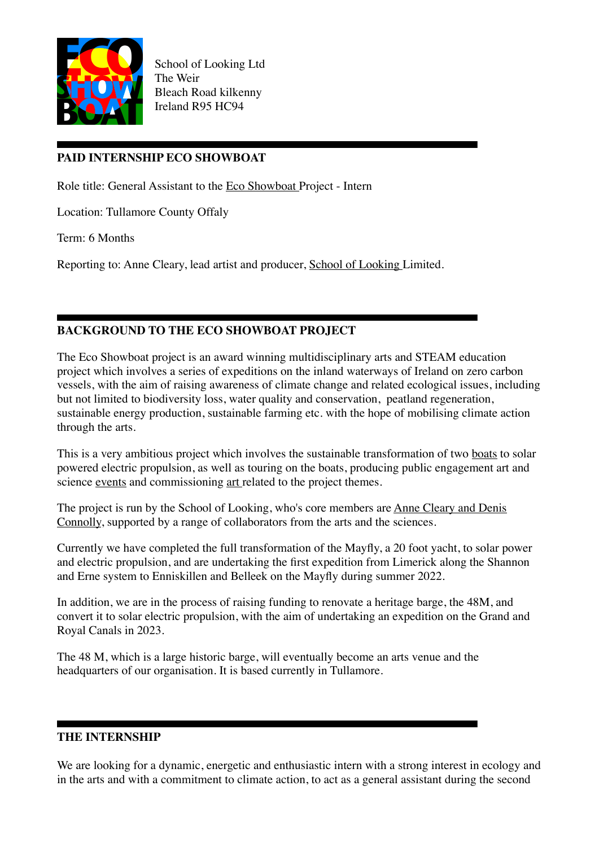

School of Looking Ltd The Weir Bleach Road kilkenny Ireland R95 HC94

# **PAID INTERNSHIP ECO SHOWBOAT**

Role title: General Assistant to the [Eco Showboat](http://www.schooloflooking.org/EcoSHOWBOAT/PROGRAMME.html) Project - Intern

Location: Tullamore County Offaly

Term: 6 Months

Reporting to: Anne Cleary, lead artist and producer, [School of Looking](http://www.schooloflooking.org/SoL/home.html) Limited.

# **BACKGROUND TO THE ECO SHOWBOAT PROJECT**

The Eco Showboat project is an award winning multidisciplinary arts and STEAM education project which involves a series of expeditions on the inland waterways of Ireland on zero carbon vessels, with the aim of raising awareness of climate change and related ecological issues, including but not limited to biodiversity loss, water quality and conservation, peatland regeneration, sustainable energy production, sustainable farming etc. with the hope of mobilising climate action through the arts.

This is a very ambitious project which involves the sustainable transformation of two [boats](http://www.schooloflooking.org/EcoSHOWBOAT/BOAT.html) to solar powered electric propulsion, as well as touring on the boats, producing public engagement art and science [events](http://www.schooloflooking.org/EcoSHOWBOAT/PANGOLIN.html) and commissioning [art r](http://www.schooloflooking.org/EcoSHOWBOAT/ANNA.html)elated to the project themes.

The project is run by the School of Looking, who's core members are [Anne Cleary and Denis](http://www.connolly-cleary.com/Home/About_Us.html)  [Connolly,](http://www.connolly-cleary.com/Home/About_Us.html) supported by a range of collaborators from the arts and the sciences.

Currently we have completed the full transformation of the Mayfly, a 20 foot yacht, to solar power and electric propulsion, and are undertaking the first expedition from Limerick along the Shannon and Erne system to Enniskillen and Belleek on the Mayfly during summer 2022.

In addition, we are in the process of raising funding to renovate a heritage barge, the 48M, and convert it to solar electric propulsion, with the aim of undertaking an expedition on the Grand and Royal Canals in 2023.

The 48 M, which is a large historic barge, will eventually become an arts venue and the headquarters of our organisation. It is based currently in Tullamore.

### **THE INTERNSHIP**

We are looking for a dynamic, energetic and enthusiastic intern with a strong interest in ecology and in the arts and with a commitment to climate action, to act as a general assistant during the second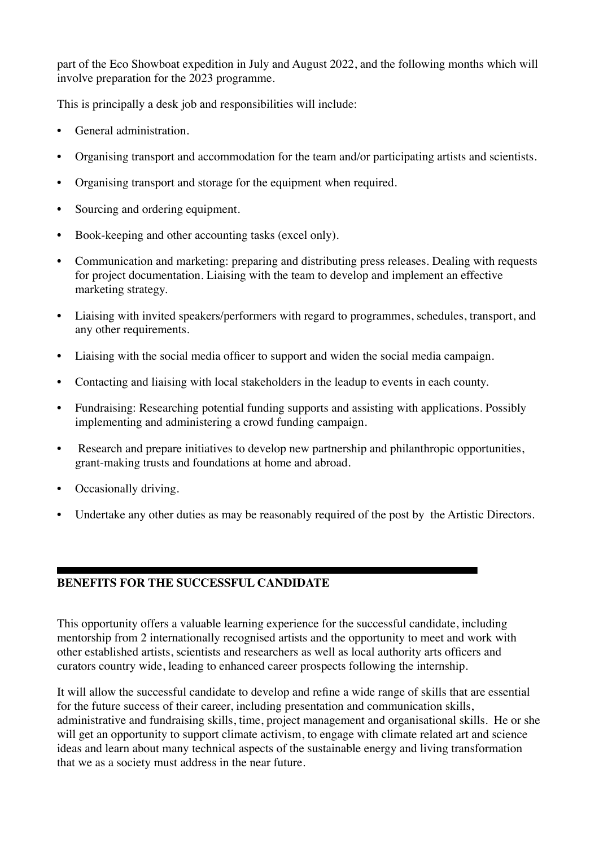part of the Eco Showboat expedition in July and August 2022, and the following months which will involve preparation for the 2023 programme.

This is principally a desk job and responsibilities will include:

- General administration.
- Organising transport and accommodation for the team and/or participating artists and scientists.
- Organising transport and storage for the equipment when required.
- Sourcing and ordering equipment.
- Book-keeping and other accounting tasks (excel only).
- Communication and marketing: preparing and distributing press releases. Dealing with requests for project documentation. Liaising with the team to develop and implement an effective marketing strategy.
- Liaising with invited speakers/performers with regard to programmes, schedules, transport, and any other requirements.
- Liaising with the social media officer to support and widen the social media campaign.
- Contacting and liaising with local stakeholders in the leadup to events in each county.
- Fundraising: Researching potential funding supports and assisting with applications. Possibly implementing and administering a crowd funding campaign.
- Research and prepare initiatives to develop new partnership and philanthropic opportunities, grant-making trusts and foundations at home and abroad.
- Occasionally driving.
- Undertake any other duties as may be reasonably required of the post by the Artistic Directors.

# **BENEFITS FOR THE SUCCESSFUL CANDIDATE**

This opportunity offers a valuable learning experience for the successful candidate, including mentorship from 2 internationally recognised artists and the opportunity to meet and work with other established artists, scientists and researchers as well as local authority arts officers and curators country wide, leading to enhanced career prospects following the internship.

It will allow the successful candidate to develop and refine a wide range of skills that are essential for the future success of their career, including presentation and communication skills, administrative and fundraising skills, time, project management and organisational skills. He or she will get an opportunity to support climate activism, to engage with climate related art and science ideas and learn about many technical aspects of the sustainable energy and living transformation that we as a society must address in the near future.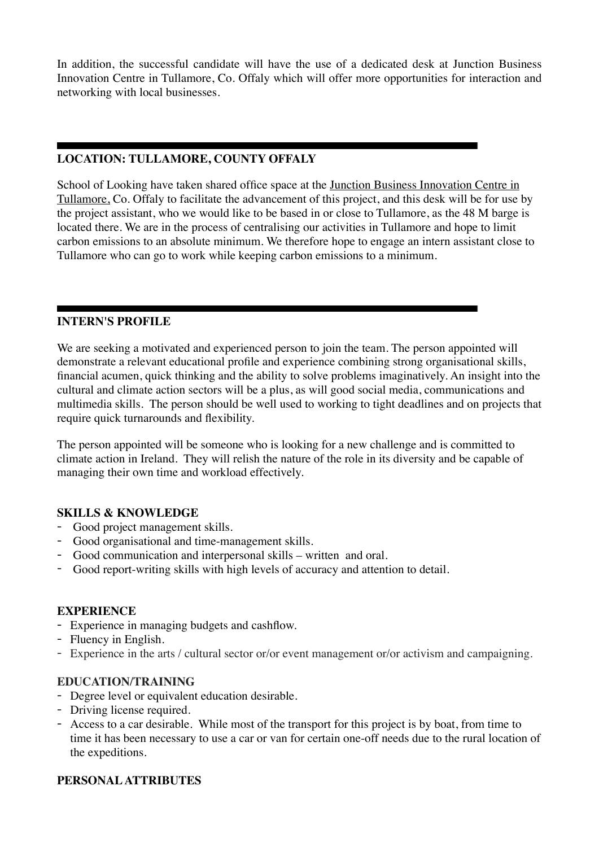In addition, the successful candidate will have the use of a dedicated desk at Junction Business Innovation Centre in Tullamore, Co. Offaly which will offer more opportunities for interaction and networking with local businesses.

# **LOCATION: TULLAMORE, COUNTY OFFALY**

School of Looking have taken shared office space at the [Junction Business Innovation Centre in](https://www.thejunctionoffaly.ie/)  [Tullamore,](https://www.thejunctionoffaly.ie/) Co. Offaly to facilitate the advancement of this project, and this desk will be for use by the project assistant, who we would like to be based in or close to Tullamore, as the 48 M barge is located there. We are in the process of centralising our activities in Tullamore and hope to limit carbon emissions to an absolute minimum. We therefore hope to engage an intern assistant close to Tullamore who can go to work while keeping carbon emissions to a minimum.

# **INTERN'S PROFILE**

We are seeking a motivated and experienced person to join the team. The person appointed will demonstrate a relevant educational profile and experience combining strong organisational skills, financial acumen, quick thinking and the ability to solve problems imaginatively. An insight into the cultural and climate action sectors will be a plus, as will good social media, communications and multimedia skills. The person should be well used to working to tight deadlines and on projects that require quick turnarounds and flexibility.

The person appointed will be someone who is looking for a new challenge and is committed to climate action in Ireland. They will relish the nature of the role in its diversity and be capable of managing their own time and workload effectively.

### **SKILLS & KNOWLEDGE**

- Good project management skills.
- Good organisational and time-management skills.
- Good communication and interpersonal skills written and oral.
- Good report-writing skills with high levels of accuracy and attention to detail.

### **EXPERIENCE**

- Experience in managing budgets and cashflow.
- Fluency in English.
- Experience in the arts / cultural sector or/or event management or/or activism and campaigning.

### **EDUCATION/TRAINING**

- Degree level or equivalent education desirable.
- Driving license required.
- Access to a car desirable. While most of the transport for this project is by boat, from time to time it has been necessary to use a car or van for certain one-off needs due to the rural location of the expeditions.

# **PERSONAL ATTRIBUTES**